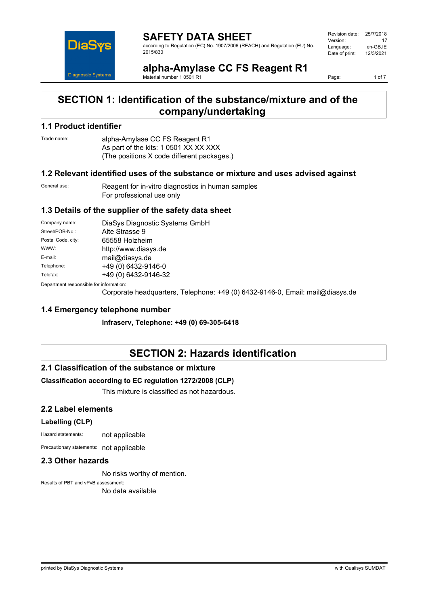

**SAFETY DATA SHEET** according to Regulation (EC) No. 1907/2006 (REACH) and Regulation (EU) No. 2015/830

| Revision date: | 25/7/2018 |
|----------------|-----------|
| Version:       | 17        |
| Language:      | en-GB,IE  |
| Date of print: | 12/3/2021 |
|                |           |

**alpha-Amylase CC FS Reagent R1** Material number 1 0501 R1

Page: 1 of 7

# **SECTION 1: Identification of the substance/mixture and of the company/undertaking**

## **1.1 Product identifier**

Trade name: alpha-Amylase CC FS Reagent R1 As part of the kits: 1 0501 XX XX XXX (The positions X code different packages.)

#### **1.2 Relevant identified uses of the substance or mixture and uses advised against**

General use: Reagent for in-vitro diagnostics in human samples For professional use only

# **1.3 Details of the supplier of the safety data sheet**

| Company name:                            | DiaSys Diagnostic Systems GmbH |  |
|------------------------------------------|--------------------------------|--|
| Street/POB-No.:                          | Alte Strasse 9                 |  |
| Postal Code, city:                       | 65558 Holzheim                 |  |
| WWW:                                     | http://www.diasys.de           |  |
| E-mail:                                  | mail@diasys.de                 |  |
| Telephone:                               | +49 (0) 6432-9146-0            |  |
| Telefax:                                 | +49 (0) 6432-9146-32           |  |
| Denestraent seanenaikle fas information: |                                |  |

Department responsible for information:

Corporate headquarters, Telephone: +49 (0) 6432-9146-0, Email: mail@diasys.de

## **1.4 Emergency telephone number**

**Infraserv, Telephone: +49 (0) 69-305-6418**

# **SECTION 2: Hazards identification**

### **2.1 Classification of the substance or mixture**

### **Classification according to EC regulation 1272/2008 (CLP)**

This mixture is classified as not hazardous.

### **2.2 Label elements**

#### **Labelling (CLP)**

Hazard statements: not applicable

Precautionary statements: not applicable

## **2.3 Other hazards**

No risks worthy of mention.

Results of PBT and vPvB assessment: No data available

printed by DiaSys Diagnostic Systems with Qualisys SUMDAT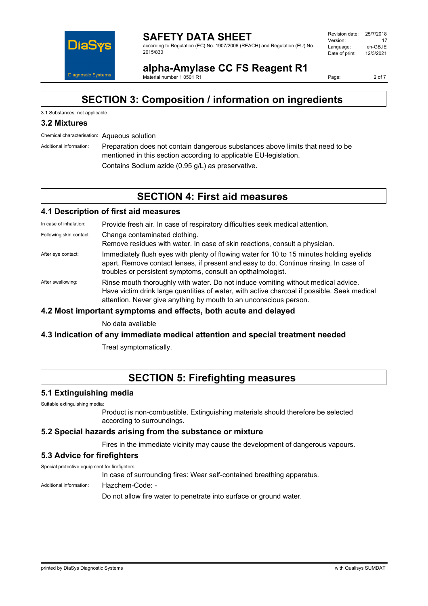

#### **SAFETY DATA SHEET** according to Regulation (EC) No. 1907/2006 (REACH) and Regulation (EU) No. 2015/830

| Revision date: | 25/7/2018 |
|----------------|-----------|
| Version:       | 17        |
| Language:      | en-GB.IE  |
| Date of print: | 12/3/2021 |
|                |           |

**alpha-Amylase CC FS Reagent R1** Material number 1 0501 R1

Page: 2 of 7

# **SECTION 3: Composition / information on ingredients**

## 3.1 Substances: not applicable

# **3.2 Mixtures**

Chemical characterisation: Aqueous solution

Additional information: Preparation does not contain dangerous substances above limits that need to be mentioned in this section according to applicable EU-legislation. Contains Sodium azide (0.95 g/L) as preservative.

# **SECTION 4: First aid measures**

### **4.1 Description of first aid measures**

In case of inhalation: Provide fresh air. In case of respiratory difficulties seek medical attention.

Following skin contact: Change contaminated clothing.

Remove residues with water. In case of skin reactions, consult a physician.

- After eye contact: Immediately flush eyes with plenty of flowing water for 10 to 15 minutes holding eyelids apart. Remove contact lenses, if present and easy to do. Continue rinsing. In case of troubles or persistent symptoms, consult an opthalmologist.
- After swallowing: Rinse mouth thoroughly with water. Do not induce vomiting without medical advice. Have victim drink large quantities of water, with active charcoal if possible. Seek medical attention. Never give anything by mouth to an unconscious person.

### **4.2 Most important symptoms and effects, both acute and delayed**

No data available

### **4.3 Indication of any immediate medical attention and special treatment needed**

Treat symptomatically.

# **SECTION 5: Firefighting measures**

### **5.1 Extinguishing media**

Suitable extinguishing media:

Product is non-combustible. Extinguishing materials should therefore be selected according to surroundings.

### **5.2 Special hazards arising from the substance or mixture**

Fires in the immediate vicinity may cause the development of dangerous vapours.

### **5.3 Advice for firefighters**

Special protective equipment for firefighters:

In case of surrounding fires: Wear self-contained breathing apparatus.

Additional information: Hazchem-Code: -

Do not allow fire water to penetrate into surface or ground water.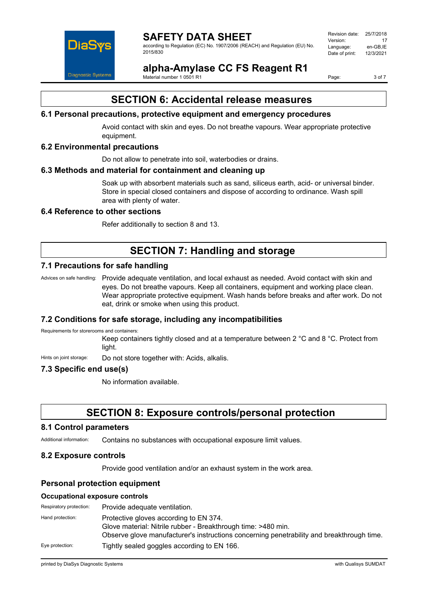

according to Regulation (EC) No. 1907/2006 (REACH) and Regulation (EU) No. 2015/830

| Revision date: | 25/7/2018 |
|----------------|-----------|
| Version:       | 17        |
| Language:      | en-GB.IE  |
| Date of print: | 12/3/2021 |
|                |           |

**alpha-Amylase CC FS Reagent R1**

Material number 1 0501 R1

Page: 3 of 7

# **SECTION 6: Accidental release measures**

# **6.1 Personal precautions, protective equipment and emergency procedures**

Avoid contact with skin and eyes. Do not breathe vapours. Wear appropriate protective equipment.

## **6.2 Environmental precautions**

Do not allow to penetrate into soil, waterbodies or drains.

### **6.3 Methods and material for containment and cleaning up**

Soak up with absorbent materials such as sand, siliceus earth, acid- or universal binder. Store in special closed containers and dispose of according to ordinance. Wash spill area with plenty of water.

# **6.4 Reference to other sections**

Refer additionally to section 8 and 13.

# **SECTION 7: Handling and storage**

# **7.1 Precautions for safe handling**

Advices on safe handling: Provide adequate ventilation, and local exhaust as needed. Avoid contact with skin and eyes. Do not breathe vapours. Keep all containers, equipment and working place clean. Wear appropriate protective equipment. Wash hands before breaks and after work. Do not eat, drink or smoke when using this product.

### **7.2 Conditions for safe storage, including any incompatibilities**

Requirements for storerooms and containers:

Keep containers tightly closed and at a temperature between 2 °C and 8 °C. Protect from light.

Hints on joint storage: Do not store together with: Acids, alkalis.

# **7.3 Specific end use(s)**

No information available.

# **SECTION 8: Exposure controls/personal protection**

#### **8.1 Control parameters**

Additional information: Contains no substances with occupational exposure limit values.

### **8.2 Exposure controls**

Provide good ventilation and/or an exhaust system in the work area.

### **Personal protection equipment**

#### **Occupational exposure controls**

| Respiratory protection: | Provide adequate ventilation.                                                                                                                                                                        |
|-------------------------|------------------------------------------------------------------------------------------------------------------------------------------------------------------------------------------------------|
| Hand protection:        | Protective gloves according to EN 374.<br>Glove material: Nitrile rubber - Breakthrough time: >480 min.<br>Observe glove manufacturer's instructions concerning penetrability and breakthrough time. |
| Eye protection:         | Tightly sealed goggles according to EN 166.                                                                                                                                                          |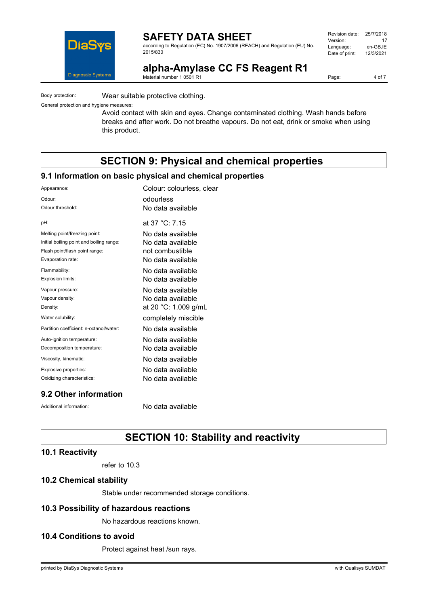

according to Regulation (EC) No. 1907/2006 (REACH) and Regulation (EU) No. 2015/830

| Revision date: | 25/7/2018 |
|----------------|-----------|
| Version:       | 17        |
| Language:      | en-GB.IE  |
| Date of print: | 12/3/2021 |
|                |           |

**alpha-Amylase CC FS Reagent R1**

Material number 1 0501 R1

Body protection: Wear suitable protective clothing.

General protection and hygiene measures:

Avoid contact with skin and eyes. Change contaminated clothing. Wash hands before breaks and after work. Do not breathe vapours. Do not eat, drink or smoke when using this product.

# **SECTION 9: Physical and chemical properties**

### **9.1 Information on basic physical and chemical properties**

| Appearance:                              | Colour: colourless, clear |
|------------------------------------------|---------------------------|
| Odour:                                   | odourless                 |
| Odour threshold:                         | No data available         |
| pH:                                      | at 37 °C: 7.15            |
| Melting point/freezing point:            | No data available         |
| Initial boiling point and boiling range: | No data available         |
| Flash point/flash point range:           | not combustible           |
| Evaporation rate:                        | No data available         |
| Flammability:                            | No data available         |
| Explosion limits:                        | No data available         |
| Vapour pressure:                         | No data available         |
| Vapour density:                          | No data available         |
| Density:                                 | at 20 °C: 1.009 g/mL      |
| Water solubility:                        | completely miscible       |
| Partition coefficient: n-octanol/water:  | No data available         |
| Auto-ignition temperature:               | No data available         |
| Decomposition temperature:               | No data available         |
| Viscosity, kinematic:                    | No data available         |
| Explosive properties:                    | No data available         |
| Oxidizing characteristics:               | No data available         |
|                                          |                           |

# **9.2 Other information**

Additional information: No data available

# **SECTION 10: Stability and reactivity**

# **10.1 Reactivity**

refer to 10.3

## **10.2 Chemical stability**

Stable under recommended storage conditions.

# **10.3 Possibility of hazardous reactions**

No hazardous reactions known.

# **10.4 Conditions to avoid**

Protect against heat /sun rays.

Page: 4 of 7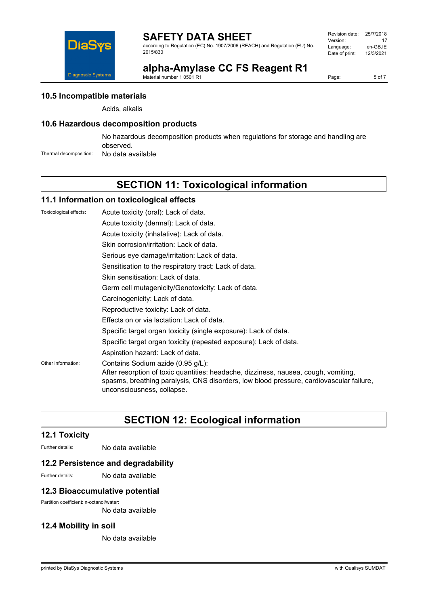

according to Regulation (EC) No. 1907/2006 (REACH) and Regulation (EU) No. 2015/830

| Revision date: | 25/7/2018 |
|----------------|-----------|
| Version:       | 17        |
| Language:      | en-GB.IE  |
| Date of print: | 12/3/2021 |
|                |           |

# **alpha-Amylase CC FS Reagent R1**

Material number 1 0501 R1

Page: 5 of 7

# **10.5 Incompatible materials**

Acids, alkalis

# **10.6 Hazardous decomposition products**

No hazardous decomposition products when regulations for storage and handling are observed.

Thermal decomposition: No data available

# **SECTION 11: Toxicological information**

### **11.1 Information on toxicological effects**

Toxicological effects: Acute toxicity (oral): Lack of data. Acute toxicity (dermal): Lack of data. Acute toxicity (inhalative): Lack of data. Skin corrosion/irritation: Lack of data. Serious eye damage/irritation: Lack of data. Sensitisation to the respiratory tract: Lack of data. Skin sensitisation: Lack of data. Germ cell mutagenicity/Genotoxicity: Lack of data. Carcinogenicity: Lack of data. Reproductive toxicity: Lack of data. Effects on or via lactation: Lack of data. Specific target organ toxicity (single exposure): Lack of data. Specific target organ toxicity (repeated exposure): Lack of data. Aspiration hazard: Lack of data. Other information: Contains Sodium azide (0.95 g/L): After resorption of toxic quantities: headache, dizziness, nausea, cough, vomiting, spasms, breathing paralysis, CNS disorders, low blood pressure, cardiovascular failure, unconsciousness, collapse.

# **SECTION 12: Ecological information**

# **12.1 Toxicity**

Further details: No data available

### **12.2 Persistence and degradability**

Further details: No data available

### **12.3 Bioaccumulative potential**

Partition coefficient: n-octanol/water:

No data available

### **12.4 Mobility in soil**

No data available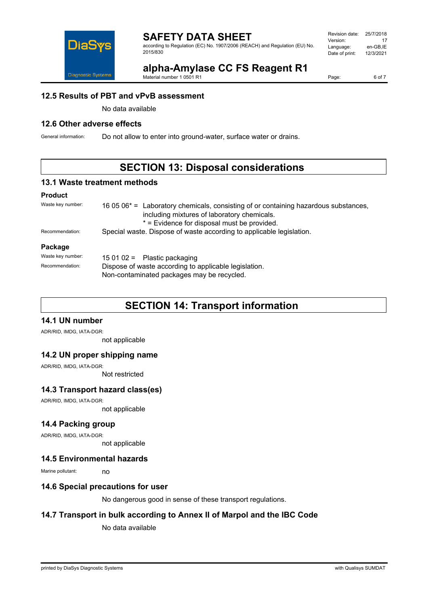

according to Regulation (EC) No. 1907/2006 (REACH) and Regulation (EU) No. 2015/830

| Revision date: | 25/7/2018 |
|----------------|-----------|
| Version:       | 17        |
| Language:      | en-GB.IE  |
| Date of print: | 12/3/2021 |
|                |           |

# **alpha-Amylase CC FS Reagent R1**

Material number 1 0501 R1

Page: 6 of 7

## **12.5 Results of PBT and vPvB assessment**

No data available

# **12.6 Other adverse effects**

General information: Do not allow to enter into ground-water, surface water or drains.

# **SECTION 13: Disposal considerations**

### **13.1 Waste treatment methods**

#### **Product**

| Waste key number: | 16 05 06 <sup>*</sup> = Laboratory chemicals, consisting of or containing hazardous substances,<br>including mixtures of laboratory chemicals.<br>* = Evidence for disposal must be provided. |  |
|-------------------|-----------------------------------------------------------------------------------------------------------------------------------------------------------------------------------------------|--|
| Recommendation:   | Special waste. Dispose of waste according to applicable legislation.                                                                                                                          |  |
| Package           |                                                                                                                                                                                               |  |
| Waste key number: | 15 01 02 = Plastic packaging                                                                                                                                                                  |  |
| Recommendation:   | Dispose of waste according to applicable legislation.<br>Non-contaminated packages may be recycled.                                                                                           |  |

# **SECTION 14: Transport information**

# **14.1 UN number**

ADR/RID, IMDG, IATA-DGR:

not applicable

### **14.2 UN proper shipping name**

ADR/RID, IMDG, IATA-DGR:

Not restricted

# **14.3 Transport hazard class(es)**

ADR/RID, IMDG, IATA-DGR:

not applicable

## **14.4 Packing group**

ADR/RID, IMDG, IATA-DGR:

not applicable

### **14.5 Environmental hazards**

Marine pollutant: no

### **14.6 Special precautions for user**

No dangerous good in sense of these transport regulations.

# **14.7 Transport in bulk according to Annex II of Marpol and the IBC Code**

No data available